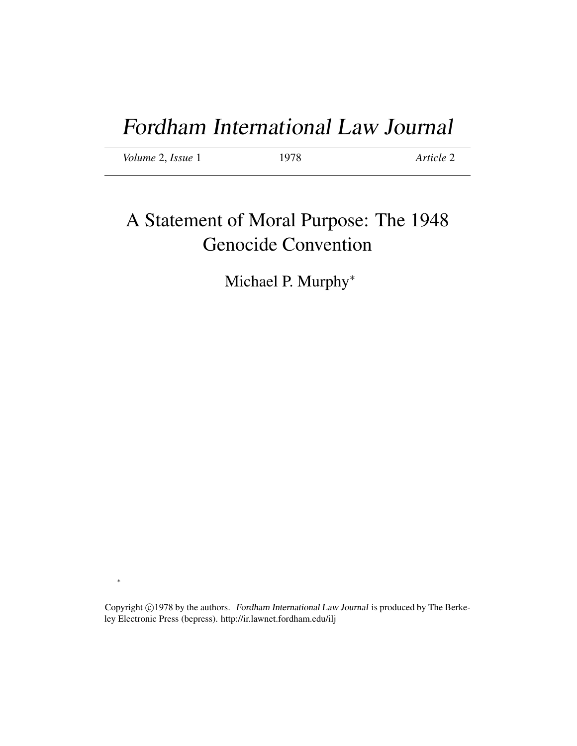| Volume 2, Issue 1 | 1978 | Article 2 |
|-------------------|------|-----------|
|                   |      |           |

# A Statement of Moral Purpose: The 1948 Genocide Convention

Michael P. Murphy<sup>\*</sup>

Copyright ©1978 by the authors. Fordham International Law Journal is produced by The Berkeley Electronic Press (bepress). http://ir.lawnet.fordham.edu/ilj

∗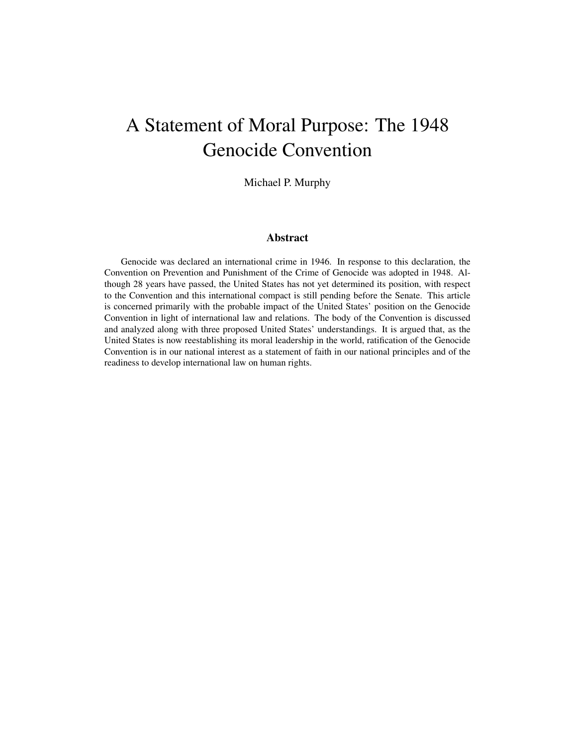# A Statement of Moral Purpose: The 1948 Genocide Convention

Michael P. Murphy

# Abstract

Genocide was declared an international crime in 1946. In response to this declaration, the Convention on Prevention and Punishment of the Crime of Genocide was adopted in 1948. Although 28 years have passed, the United States has not yet determined its position, with respect to the Convention and this international compact is still pending before the Senate. This article is concerned primarily with the probable impact of the United States' position on the Genocide Convention in light of international law and relations. The body of the Convention is discussed and analyzed along with three proposed United States' understandings. It is argued that, as the United States is now reestablishing its moral leadership in the world, ratification of the Genocide Convention is in our national interest as a statement of faith in our national principles and of the readiness to develop international law on human rights.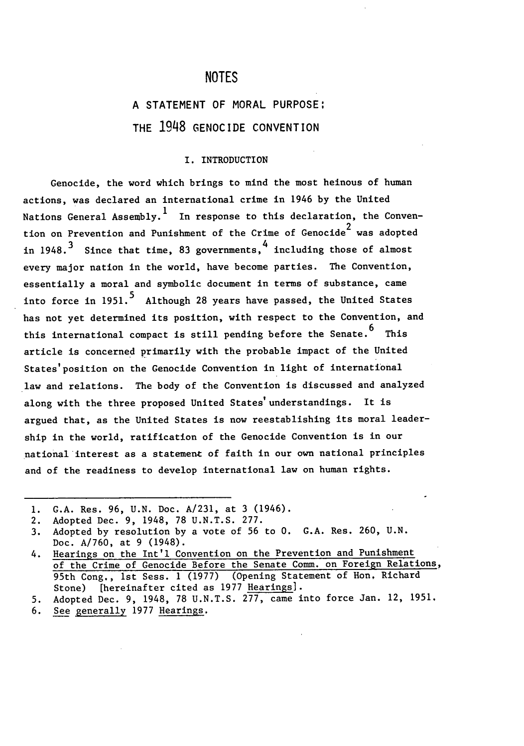# **NOTES**

# **A STATEMENT** OF MORAL **PURPOSE:** THE **1948 GENOCIDE CONVENTION**

### I. INTRODUCTION

Genocide, the word which brings to mind the most heinous of human actions, was declared an international crime in 1946 by the United Nations General Assembly.<sup>1</sup> In response to this declaration, the Convention on Prevention and Punishment of the Crime of Genocide<sup>2</sup> was adopted in 1948.<sup>3</sup> Since that time, 83 governments,  $\frac{4}{1}$  including those of almost every major nation in the world, have become parties. The Convention, essentially a moral and symbolic document in terms of substance, came into force in 1951.<sup>5</sup> Although 28 years have passed, the United States has not yet determined its position, with respect to the Convention, and this international compact is still pending before the Senate.  $6$  This article is concerned primarily with the probable impact of the United States'position on the Genocide Convention in light of international law and relations. The body of the Convention is discussed and analyzed along with the three proposed United States'understandings. It is argued that, as the United States is now reestablishing its moral leadership in the world, ratification of the Genocide Convention is in our national interest as a statement of faith in our own national principles and of the readiness to develop international law on human rights.

**<sup>1.</sup>** G.A. Res. 96, U.N. Doc. A/231, at 3 (1946).

<sup>2.</sup> Adopted Dec. 9, 1948, 78 U.N.T.S. 277.

<sup>3.</sup> Adopted by resolution by a vote of 56 to 0. G.A. Res. 260, U.N. Doc. A/760, at 9 (1948).

<sup>4.</sup> Hearings on the Int'l Convention on the Prevention and Punishment of the Crime of Genocide Before the Senate Comm. on Foreign Relations, 95th Cong., 1st Sess. 1 (1977) (Opening Statement of Hon, Richard Stone) [hereinafter cited as 1977 Hearings].

<sup>5.</sup> Adopted Dec. 9, 1948, 78 U.N.T.S. 277, came into force Jan. 12, 1951.

<sup>6.</sup> See generally 1977 Hearings.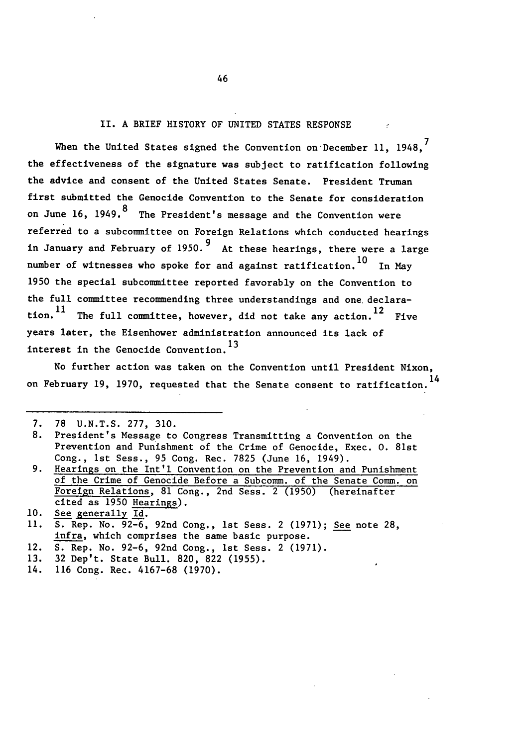### II. A BRIEF HISTORY OF UNITED STATES RESPONSE

When the United States signed the Convention on December 11, 1948.<sup>7</sup> the effectiveness of the signature was subject to ratification following the advice and consent of the United States Senate. President Truman first submitted the Genocide Convention to the Senate for consideration on June 16, 1949.<sup>8</sup> The President's message and the Convention were referred to a subcommittee on Foreign Relations which conducted hearings in January and February of **1950.9** At these hearings, there were a large number of witnesses who spoke for and against ratification.  $^{10}$  In Mav 1950 the special subcommittee reported favorably on the Convention to the full committee recommending three understandings and one. declaration.  $^{11}$  The full committee, however, did not take any action.  $^{12}$  Five years later, the Eisenhower administration announced its lack of interest in the Genocide Convention.1<sup>3</sup>

No further action was taken on the Convention until President Nixon, on February 19, 1970, requested that the Senate consent to ratification.<sup>14</sup>

- 12. **S.** Rep. No. 92-6, 92nd Cong., 1st Sess. 2 (1971).
- 13. 32 Dep't. State Bull. 820, 822 (1955).
- 14. 116 Cong. Rec. 4167-68 (1970).

**<sup>7. 78</sup>** U.N.T.S. 277, 310.

**<sup>8.</sup>** President's Message to Congress Transmitting a Convention on the Prevention and Punishment of the Crime of Genocide, Exec. **0.** 81st Cong., 1st Sess., 95 Cong. Rec. 7825 (June 16, 1949).

<sup>9.</sup> Hearings on the Int'l Convention on the Prevention and Punishment of the Crime of Genocide Before a Subcomm. of the Senate Comm. on Foreign Relations, 81 Cong., 2nd Sess. 2 (1950) (hereinafter cited as 1950 Hearings).

**<sup>10.</sup>** See generally Id.

**<sup>11.</sup> S.** Rep. No. 92-6, 92nd Cong,, Ist Sess. 2 (1971); See note 28, infra, which comprises the same basic purpose.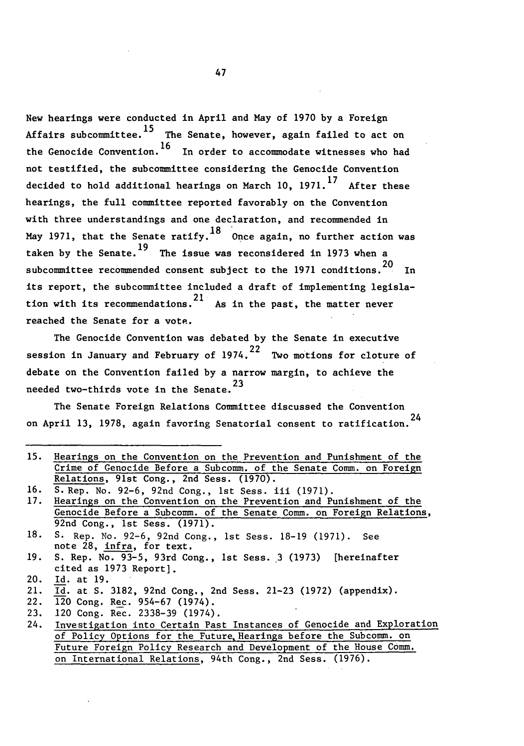New hearings were conducted in April and May of 1970 by a Foreign Affairs subcommittee.<sup>15</sup> The Senate, however, again failed to act on the Genocide Convention.16 In order to accommodate witnesses who had not testified, the subcommittee considering the Genocide Convention **17** decided to hold additional hearings on March **10,** 1971. After these hearings, the full committee reported favorably on the Convention with three understandings and one declaration, and recommended in May 1971, that the Senate ratify,  $^{18}$  Once again, no further action was taken by the Senate.<sup>19</sup> The issue was reconsidered in 1973 when a \_<br>20 subcommittee recommended consent subject to the 1971 conditions. In its report, the subcommittee included a draft of implementing legislation with its recommendations.<sup>21</sup> As in the past, the matter never reached the Senate for a vote.

The Genocide Convention was debated by the Senate in executive วว session in January and February of 1974. Two motions for cloture of debate on the Convention failed by a narrow margin, to achieve the needed two-thirds vote in the Senate.<sup>23</sup>

The Senate Foreign Relations Committee discussed the Convention on April 13, 1978, again favoring Senatorial consent to ratification.<sup>24</sup>

|     | 15. Hearings on the Convention on the Prevention and Punishment of the |
|-----|------------------------------------------------------------------------|
|     | Crime of Genocide Before a Subcomm. of the Senate Comm. on Foreign     |
|     | Relations, 91st Cong., 2nd Sess. (1970).                               |
| 16. | S. Rep. No. 92-6, 92nd Cong., 1st Sess. iii (1971).                    |
| 17. | Hearings on the Convention on the Prevention and Punishment of the     |
|     | Genocide Before a Subcomm. of the Senate Comm. on Foreign Relations,   |
|     | 92nd Cong., 1st Sess. (1971).                                          |
|     | 18. S. Rep. No. 92-6, 92nd Cong., 1st Sess. 18-19 (1971). See          |
|     | note 28, infra, for text.                                              |
|     | 19. S. Rep. No. 93-5, 93rd Cong., 1st Sess. 3 (1973) [hereinafter      |
|     | cited as 1973 Report].                                                 |
| 20. | Id. at 19.                                                             |
|     | 21. Id. at S. 3182, 92nd Cong., 2nd Sess. 21-23 (1972) (appendix).     |
|     | 22. 120 Cong. Rec. 954-67 (1974).                                      |
|     | 23. 120 Cong. Rec. 2338-39 (1974).                                     |
| 24. | Investigation into Certain Past Instances of Genocide and Exploration  |
|     | of Policy Options for the Future Hearings before the Subcomm, on       |

of Policy Options for the Future, Hearings before the Subcomm. on Future Foreign Policy Research and Development of the House Comm. on International Relations, 94th Cong., 2nd Sess. (1976).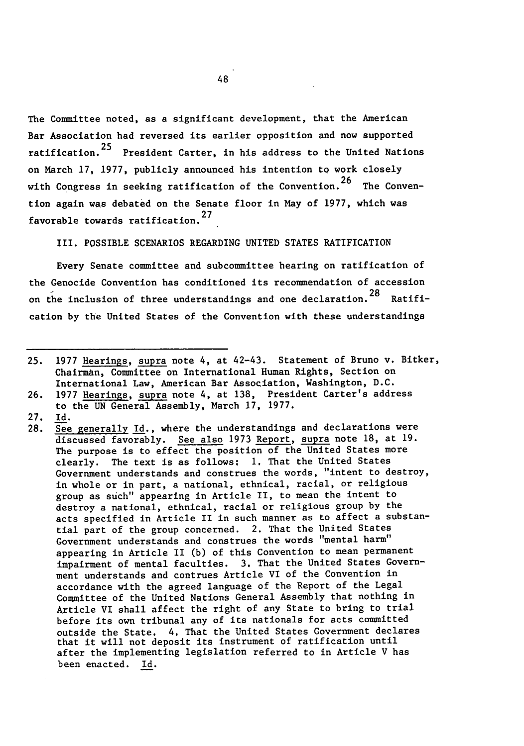The Committee noted, as a significant development, that the American Bar Association had reversed its earlier opposition and now supported ratification.<sup>25</sup> President Carter, in his address to the United Nations on March 17, 1977, publicly announced his intention to work closely with Congress in seeking ratification of the Convention.<sup>26</sup> The Convention again was debated on the Senate floor in May of 1977, which was favorable towards ratification.<sup>27</sup>

III. POSSIBLE SCENARIOS REGARDING UNITED STATES RATIFICATION

Every Senate committee and subcommittee hearing on ratification of the Genocide Convention has conditioned its recommendation of accession on the inclusion of three understandings and one declaration.<sup>28</sup> Ratification by the United States of the Convention with these understandings

- 27. Id.
- 28. See generally Id., where the understandings and declarations were discussed favorably. See also 1973 Report, supra note 18, at 19. The purpose is to effect the position of the United States more clearly. The text is as follows: **1.** That the United States Government understands and construes the words, "intent to destroy, in whole or in part, a national, ethnical, racial, or religious group as such" appearing in Article II, to mean the intent to destroy a national, ethnical, racial or religious group by the acts specified in Article II in such manner as to affect a substantial part of the group concerned. 2. That the United States Government understands and construes the words "mental harm" appearing in Article II (b) of this Convention to mean permanent impairment of mental faculties. **3.** That the United States Government understands and contrues Article VI of the Convention in accordance with the agreed language of the Report of the Legal Committee of the United Nations General Assembly that nothing in Article VI shall affect the right of any State to bring to trial before its own tribunal any of its nationals for acts committed outside the State. 4, That the United States Government declares that it will not deposit its instrument of ratification until after the implementing legislation referred to in Article V has been enacted. Id.

<sup>25. 1977</sup> Hearings, supra note 4, at 42-43. Statement of Bruno v. Bitker, Chairman, Committee on International Human Rights, Section on International Law, American Bar Association, Washington, D.C.

<sup>26. 1977</sup> Hearings, supra note 4, at 138, President Carter's address to the UN General Assembly, March 17, 1977.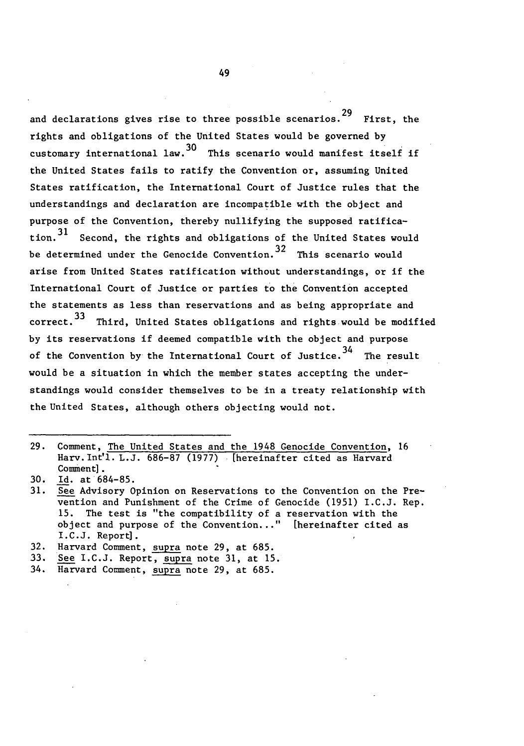and declarations gives rise to three possible scenarios.29 First, the rights and obligations of the United States would be governed by **30** customary international law. This scenario would manifest itself if the United States fails to ratify the Convention or, assuming United States ratification, the International Court of Justice rules that the understandings and declaration are incompatible with the object and purpose of the Convention, thereby nullifying the supposed ratifica-ว<br>? 1 tion.  $\tilde{\phantom{a}}$  Second, the rights and obligations of the United States would 32 be determined under the Genocide Convention. This scenario would arise from United States ratification without understandings, or if the International Court of Justice or parties to the Convention accepted the statements as less than reservations and as being appropriate and २२  $correct.^{\sim}$  Third, United States obligations and rights would be modified by its reservations if deemed compatible with the object and purpose of the Convention by the International Court of Justice.<sup>34</sup> The result would be a situation in which the member states accepting the understandings would consider themselves to be in a treaty relationship with the United States, although others objecting would not.

29. Comment, The United States and the 1948 Genocide Convention, 16 Harv. Int'l. L.J. 686-87 (1977) [hereinafter cited as Harvard Comment].

<sup>30.</sup> Id. at 684-85.

<sup>31.</sup> See Advisory Opinion on Reservations to the Convention on the Prevention and Punishment of the Crime of Genocide (1951) I.C.J. Rep. 15. The test is "the compatibility of a reservation with the object and purpose of the Convention..." [hereinafter cited as I.C.J. Report].

<sup>32.</sup> Harvard Comment, supra note 29, at 685.

<sup>33.</sup> See I.C.J. Report, supra note 31, at 15.

<sup>34.</sup> Harvard Comment, supra note 29, at 685.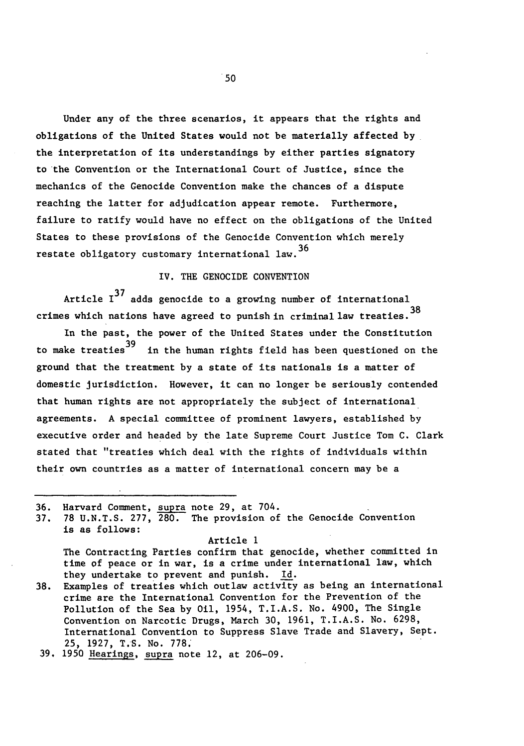Under any of the three scenarios, it appears that the rights and obligations of the United States would not be materially affected by the interpretation of its understandings by either parties signatory to the Convention or the International Court **of** Justice, since the mechanics of the Genocide Convention make the chances of a dispute reaching the latter for adjudication appear remote. Furthermore, failure to ratify would have no effect on the obligations of the United States to these provisions of the Genocide Convention which merely restate obligatory customary international law.<sup>36</sup>

## IV. THE GENOCIDE CONVENTION

Article **137** adds genocide to a growing number of international crimes which nations have agreed to punish in criminal law treaties.  $38$ 

In the past, the power of the United States under the Constitution to make treaties<sup>39</sup> in the human rights field has been questioned on the ground that the treatment by a state of its nationals is a matter of domestic jurisdiction. However, it can no longer be seriously contended that human rights are not appropriately the subject of international agreements. A special committee of prominent lawyers, established by executive order and headed by the late Supreme Court Justice Tom C. Clark stated that "treaties which deal with the rights of individuals within their own countries as a matter of international concern may be a

36. Harvard Comment, supra note 29, at 704.

**37. 78** U.N.T.S. 277, 280. The provision of the Genocide Convention is as follows:

Article **1**

The Contracting Parties confirm that genocide, whether committed in time of peace or in war, is a crime under international law, which they undertake to prevent and punish. **Id.**

**38.** Examples of treaties which outlaw activity as being an international crime are the International Convention for the Prevention of the Pollution of the Sea by Oil, 1954, T.I.A.S. No. 4900, The Single Convention on Narcotic Drugs, March 30, 1961, T.I.A.S. No. 6298, International Convention to Suppress Slave Trade and Slavery, Sept. **25,** 1927, T.S. No. 778.

**39.** 1950 Hearings, supra note 12, at 206-09.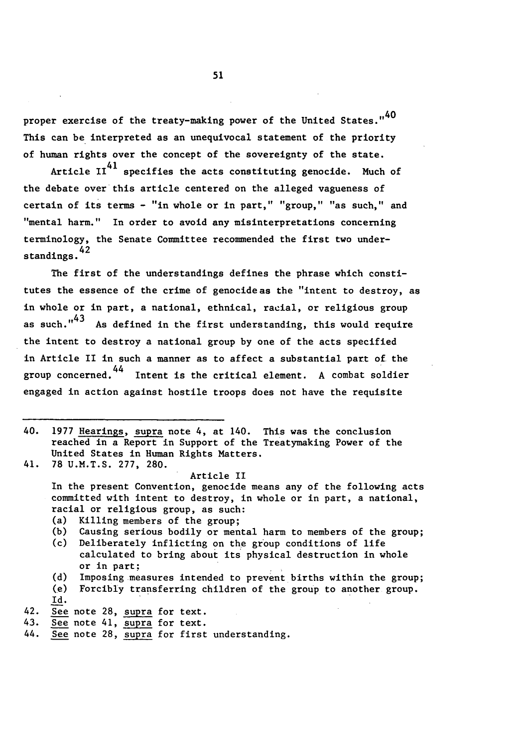proper exercise of the treaty-making power of the United States."<sup>40</sup> This can be interpreted as an unequivocal statement of the priority of human rights over the concept of the sovereignty of the state.

Article  $II<sup>41</sup>$  specifies the acts constituting genocide. Much of the debate over this article centered on the alleged vagueness of certain of its terms - "in whole or in part," "group," "as such," and "mental harm." In order to avoid any misinterpretations concerning terminology, the Senate Committee recommended the first two understandings. 42

The first of the understandings defines the phrase which constitutes the essence of the crime of genocide as the "intent to destroy, as in whole or in part, a national, ethnical, racial, or religious group as such." $43$  As defined in the first understanding, this would require the intent to destroy a national group by one of the acts specified in Article II in such a manner as to affect a substantial part of the group concerned.<sup>44</sup> Intent is the critical element. A combat soldier engaged in action against hostile troops does not have the requisite

40. 1977 Hearings, supra note 4, at 140. This was the conclusion reached in a Report in Support of the Treatymaking Power of the United States in Human Rights Matters. 41. 78 U.M.T.S. 277, 280.

Article II In the present Convention, genocide means any of the following acts committed with intent to destroy, in whole or in part, a national, racial or religious group, as such:

- (a) Killing members of the group;
- (b) Causing serious bodily or mental harm to members of the group;
- (c) Deliberately inflicting on the group conditions of life calculated to bring about its physical destruction in whole or in part;
- **(d)** Imposing-measures intended to prevent births within the group;
- (e) Forcibly transferring children of the group to another group. Id.
- 42. See note 28, supra for text.
- 43. See note 41, supra for text.
- 44. See note 28, supra for first understanding.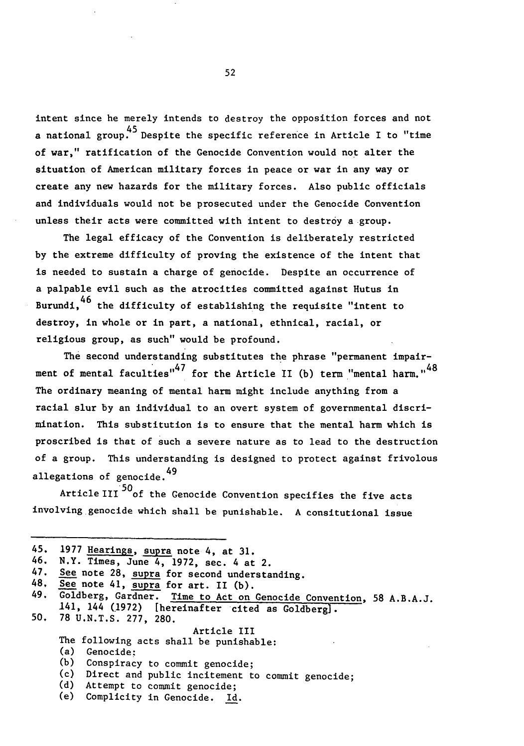intent since he merely intends to destroy the opposition forces and not 45 a national group. Despite the specific reference in Article I to "time of war," ratification of the Genocide Convention would not alter the situation of American military forces in peace or war in any way or create any new hazards for the military forces. Also public officials and individuals would not be prosecuted under the Genocide Convention unless their acts were committed with intent to destroy a group.

The legal efficacy of the Convention is deliberately restricted by the extreme difficulty of proving the existence of the intent that is needed to sustain a charge of genocide. Despite an occurrence of a palpable evil such as the atrocities committed against Hutus in \_\_<br>46 Burundi, <sup>to</sup> the difficulty of establishing the requisite "intent to destroy, in whole or in part, a national, ethnical, racial, or religious group, as such" would be profound.

The second understanding substitutes the phrase "permanent impairment of mental faculties" $47$  for the Article II (b) term "mental harm." $48$ The ordinary meaning of mental harm might include anything from a racial slur **by** an individual to an overt system of governmental discrimination. This substitution is to ensure that the mental harm which is proscribed is that of such a severe nature as to lead to the destruction of a group. This understanding is designed to protect against frivolous allegations of genocide.<sup>49</sup>

Article III<sup>50</sup>of the Genocide Convention specifies the five acts involving genocide which shall be punishable. A consitutional issue

|     | 45. 1977 Hearings, supra note 4, at 31.                                |  |  |
|-----|------------------------------------------------------------------------|--|--|
|     | 46. N.Y. Times, June 4, 1972, sec. 4 at 2.                             |  |  |
| 47. | See note 28, supra for second understanding.                           |  |  |
|     | 48. See note 41, supra for art. II (b).                                |  |  |
|     | 49. Goldberg, Gardner. Time to Act on Genocide Convention, 58 A.B.A.J. |  |  |
|     | 141, 144 (1972) [hereinafter cited as Goldberg].                       |  |  |
|     | 50. 78 U.N.T.S. 277, 280.                                              |  |  |
|     | Article III                                                            |  |  |
|     | The following acts shall be punishable:                                |  |  |
|     | (a)<br>Genocide:                                                       |  |  |
|     | (b) Conspiracy to commit genocide;                                     |  |  |
|     | (c) Direct and public incitement to commit genocide;                   |  |  |
|     | (d) Attempt to commit genocide;                                        |  |  |
|     | (e) Complicity in Genocide. Id.                                        |  |  |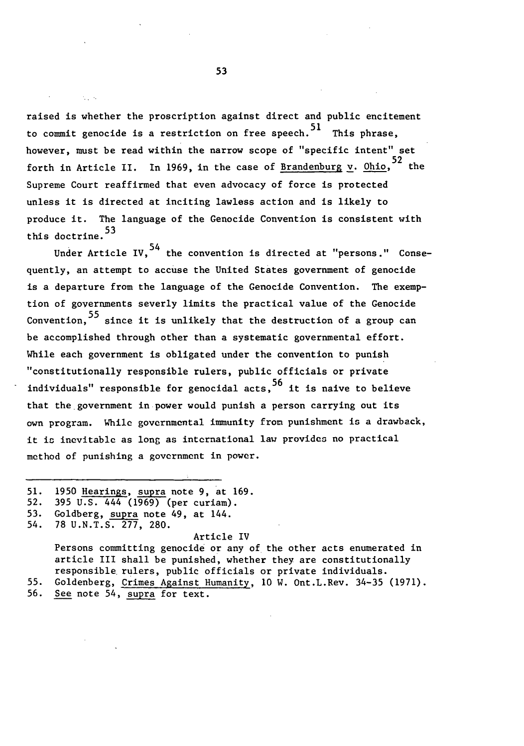raised is whether the proscription against direct and public encitement to commit genocide is a restriction on free speech.<sup>51</sup> This phrase. however, must be read within the narrow scope of "specific intent" set 52 forth in Article II. In 1969, in the case of <u>Brandenburg v</u>. <u>Ohio</u>, the Supreme Court reaffirmed that even advocacy of force is protected unless it is directed at inciting lawless action and is likely to produce it. The language of the Genocide Convention is consistent with this doctrine.<sup>53</sup>

Under Article IV.  $54$  the convention is directed at "persons." Consequently, an attempt to accuse the United States government of genocide is a departure from the language of the Genocide Convention. The exemption of governments severly limits the practical value of the Genocide 55 Convention,  $\tilde{\phantom{a}}$  since it is unlikely that the destruction of a group can be accomplished through other than a systematic governmental effort. While each government is obligated under the convention to punish "constitutionally responsible rulers, public officials or private .<br>م5 individuals" responsible for genocidal acts, $\tilde{\phantom{a}}$  it is naive to believe that the government in power would punish a person carrying out its own program. While governmental immunity from punishment is a drawback, it is inevitable as long as international law provides no practical method of punishing a government in power.

52. 395 U.S. 444 (1969) (per curiam).

#### Article IV

Persons committing genocide or any of the other acts enumerated in article III shall be punished, whether they are constitutionally responsible rulers, public officials or private individuals. 55. Goldenberg, Crimes Against Humanity, **10** W. Ont.L.Rev. 34-35 (1971).

56. See note 54, supra for text.

<sup>51. 1950</sup> Hearings, supra note 9, at 169.

<sup>53.</sup> Goldberg, supra note 49, at 144.

<sup>54. 78</sup> U.N.T.S. 277, 280.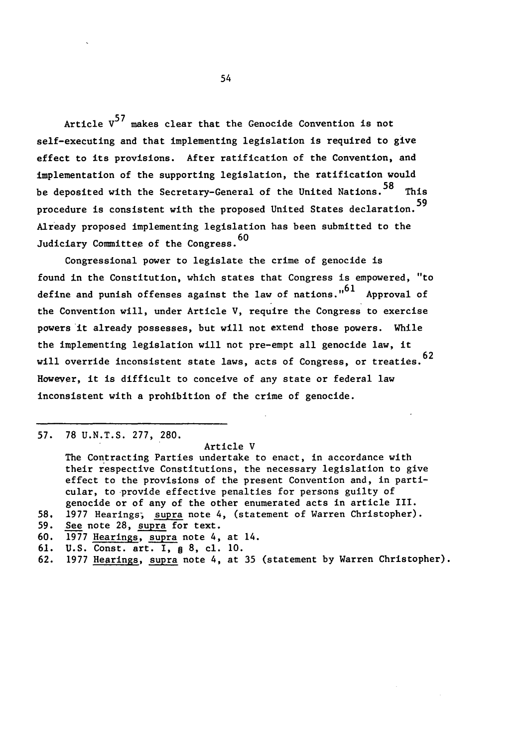Article **V<sup>5</sup> <sup>7</sup>**makes clear that the Genocide Convention is not self-executing and that implementing legislation is required to give effect to its provisions. After ratification of the Convention, and implementation of the supporting legislation, the ratification would **58** be deposited with the Secretary-General of the United Nations. This procedure is consistent with the proposed United States declaration.<sup>59</sup> Already proposed implementing legislation has been submitted to the Judiciary Committee of the Congress.<sup>60</sup>

Congressional power to legislate the crime of genocide is found in the Constitution, which states that Congress is empowered, "to define and punish offenses against the law of nations." $61$  Approval of the Convention will, under Article V, require the Congress to exercise powers it already possesses, but will not extend those powers. While the implementing legislation will not pre-empt all genocide law, it will override inconsistent state laws, acts of Congress, or treaties. 62 However, it is difficult to conceive of any state or federal law inconsistent with a prohibition of the crime of genocide.

**57. 78** U.N.T.S. 277, 280.

#### Article V

The Contracting Parties undertake to enact, in accordance with their respective Constitutions, the necessary legislation to give effect to the provisions of the present Convention and, in particular, to provide effective penalties for persons guilty of genocide or of any of the other enumerated acts in article III.

- **58, 1977** Hearings; supra note 4, (statement of Warren Christopher).
- **59.** See note **28,** supra for text.
- 60. **1977** Hearings, supra note 4, at 14.
- 61. U.S. Const. art. I, § **8,** cl. **10.**
- **62.** 1977 Hearings, supra note 4, at 35 (statement by Warren Christopher).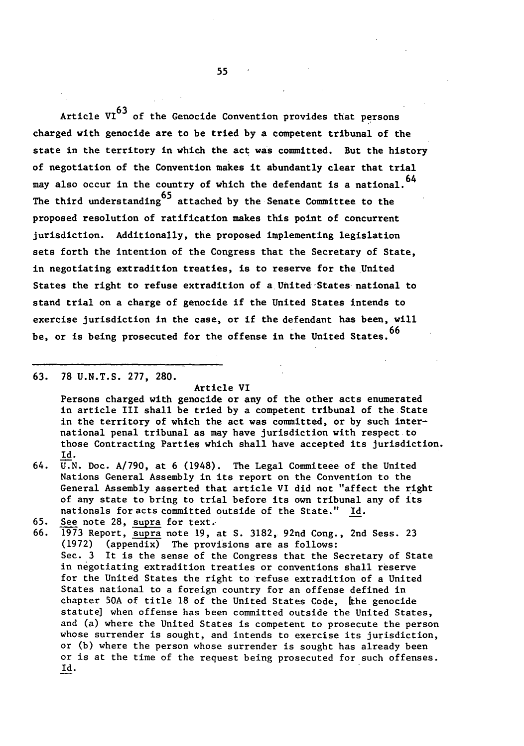Article  $VI^{63}$  of the Genocide Convention provides that persons charged with genocide are to be tried **by** a competent tribunal of the state in the territory in which the act was committed. But the history of negotiation of the Convention makes it abundantly clear that trial may also occur in the country of which the defendant is a national. 64 The third understanding  $65$  attached by the Senate Committee to the proposed resolution of ratification makes this point of concurrent jurisdiction. Additionally, the proposed implementing legislation sets forth the intention of the Congress that the Secretary of State, in negotiating extradition treaties, is to reserve for the United States the right to refuse extradition of a United States national to stand trial on a charge of genocide if the United States intends to exercise jurisdiction in the case, or if the defendant has been, will be, or is being prosecuted for the offense in the United States. 66

**63.** 78 U.N.T.S. 277, 280.

#### Article VI

Persons charged with genocide or any of the other acts enumerated in article III shall be tried by a competent tribunal of the State in the territory of which the act was committed, or by such international penal tribunal as may have jurisdiction with respect to those Contracting Parties which shall have accepted its jurisdiction. Id.

- 64. U.N. Doc. A/790, at 6 (1948). The Legal Commiteee of the United Nations General Assembly in its report on the Convention to the General Assembly asserted that article VI did not "affect the right of any state to bring to trial before its own tribunal any of its nationals for acts committed outside of the State." Id.
- **65.** See note 28, supra for text.
- 66. 1973 Report, supra note 19, at **S.** 3182, 92nd Cong., 2nd Sess. 23 (1972) (appendix) The provisions are as follows: Sec. 3 It is the sense of the Congress that the Secretary of State in negotiating extradition treaties or conventions shall reserve for the United States the right to refuse extradition of a United States national to a foreign country for an offense defined in chapter 50A of title 18 of the United States Code, [the genocide statute] when offense has been committed outside the United States, and (a) where the United States is competent to prosecute the person whose surrender is sought, and intends to exercise its jurisdiction, or (b) where the person whose surrender is sought has already been or is at the time of the request being prosecuted for such offenses.Id.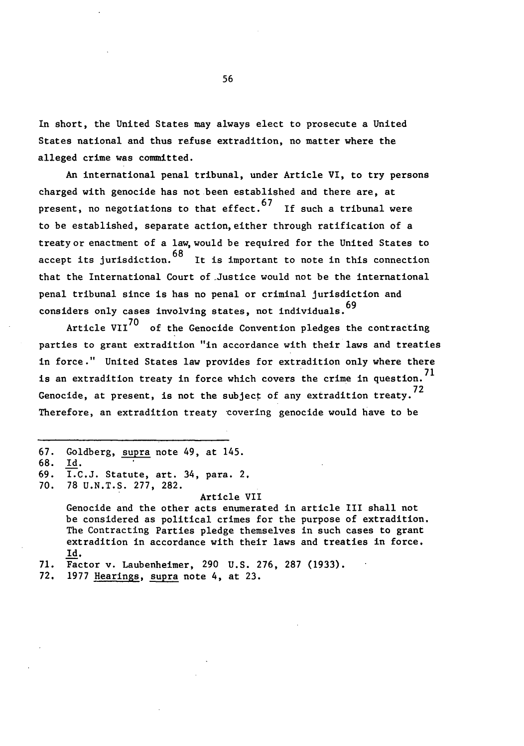In short, the United States may always elect to prosecute a United States national and thus refuse extradition, no matter where the alleged crime was committed.

An international penal tribunal, under Article VI, to try persons charged with genocide has not been established and there are, at present, no negotiations to that effect.  $67$  If such a tribunal were to be established, separate action, either through ratification of a treaty or enactment of a law, would be required for the United States to accept its jurisdiction.  $68$  It is important to note in this connection that the International Court of Justice would not be the international penal tribunal since is has no penal or criminal jurisdiction and considers only cases involving states, not individuals.<sup>69</sup>

Article VII<sup>70</sup> of the Genocide Convention pledges the contracting parties to grant extradition "in accordance with their laws and treaties in force." United States law provides for extradition only where there is an extradition treaty in force which covers the crime in question.<sup>71</sup> Genocide, at present, is not the subject of any extradition treaty.<sup>72</sup> Therefore, an extradition treaty covering genocide would have to be

- **67.** Goldberg, supra note 49, at 145.
- 68. Id.

70. 78 U.N.T.S. 277, 282.

Article VII

Genocide and the other acts enumerated in article III shall not be considered as political crimes for the purpose of extradition. The Contracting Parties pledge themselves in such cases to grant extradition in accordance with their laws and treaties in force. Id.

- **71.** Factor v. Laubenheimer, 290 U.S. 276, 287 (1933).
- 72. 1977 Hearings, supra note 4, at 23.

<sup>69.</sup> I.C.J. Statute, art. 34, para. 2,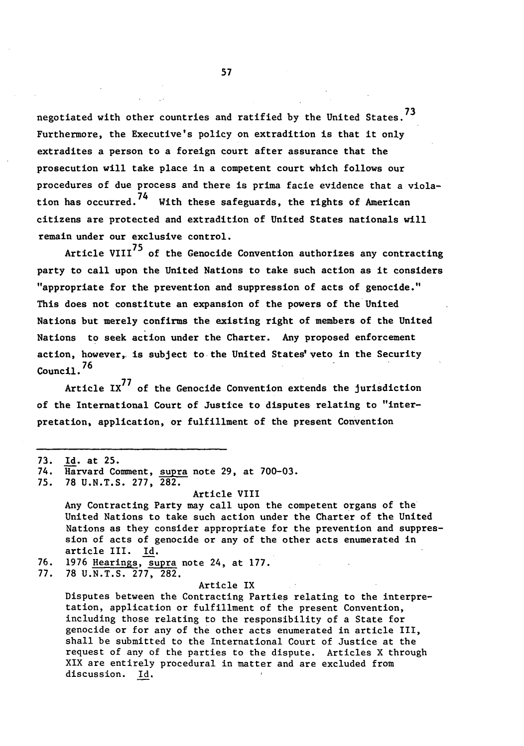negotiated with other countries and ratified by the United States.<sup>73</sup> Furthermore, the Executive's policy on extradition is that it only extradites a person to a foreign court after assurance that the prosecution will take place in a competent court which follows our procedures of due process and there is prima facie evidence that a viola--74<br>74 tion has occurred.'' With these safeguards, the rights of American citizens are protected and extradition of United States nationals will remain under our exclusive control.

Article VIII<sup>75</sup> of the Genocide Convention authorizes any contracting party to call upon the United Nations to take such action as it considers "appropriate for the prevention and suppression of acts of genocide." This does not constitute an expansion of the powers of the United Nations but merely confirms the existing right of members of the United Nations to seek action under the Charter. Any proposed enforcement action, however, is subject to the United States' veto in the Security Council. $^{76}$ 

Article  $IX^{77}$  of the Genocide Convention extends the jurisdiction of the International Court of Justice to disputes relating to "interpretation, application, or fulfillment of the present Convention

- **73.** Id. at 25.
- 74. Harvard Comment, supra note 29, at 700-03.
- 75. **78** U.N.T.S. 277, **282.**

Article VIII Any Contracting Party may call upon the competent organs of the United Nations to take such action under the Charter of the United Nations as they consider appropriate for the prevention and suppression of acts of genocide or any of the other acts enumerated in article III. Id.

76. 1976 Hearings, supra note 24, at 177.

**77.** 78 U.N.T.S. 277, 282.

#### Article IX

Disputes between the Contracting Parties relating to the interpretation, application or fulfillment of the present Convention, including those relating to the responsibility of a State for genocide or for any of the other acts enumerated in article III, shall be submitted to the International Court of Justice at the request of any of the parties to the dispute. Articles X through XIX are entirely procedural in matter and are excluded from discussion. Id.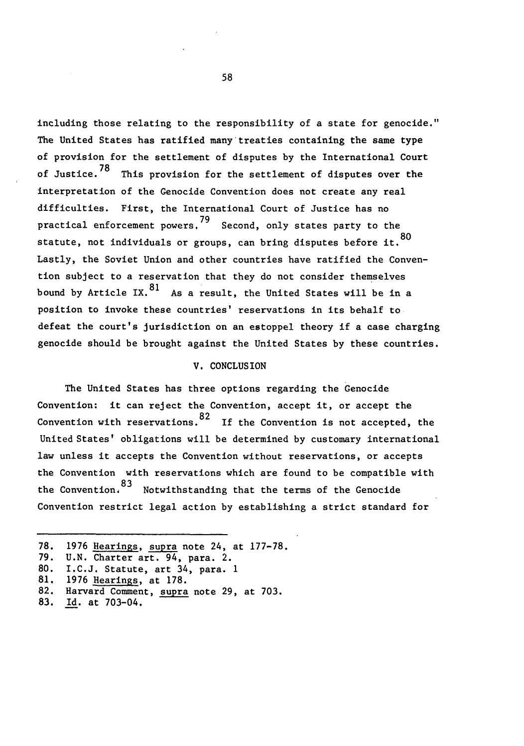including those relating to the responsibility of a state for genocide." The United States has ratified many treaties containing the same type of provision for the settlement of disputes by the International Court of Justice.<sup>78</sup> This provision for the settlement of disputes over the interpretation of the Genocide Convention does not create any real difficulties. First, the International Court of Justice has no practical enforcement powers.<sup>79</sup> Second, only states party to the statute, not individuals or groups, can bring disputes before it. 80 Lastly, the Soviet Union and other countries have ratified the Convention subject to a reservation that they do not consider themselves bound by Article IX.  $81$  As a result, the United States will be in a position to invoke these countries' reservations in its behalf to defeat the court's jurisdiction on an estoppel theory if a case charging genocide should be brought against the United States by these countries.

#### V. CONCLUSION

The United States has three options regarding the Genocide Convention: it can reject the Convention, accept it, or accept the —<br>ጸ2 Convention with reservations. <sup>24</sup> If the Convention is not accepted, the United States' obligations will be determined by customary international law unless it accepts the Convention without reservations, or accepts the Convention with reservations which are found to be compatible with the Convention 83 Notwithstanding that the terms of the Genocide Convention restrict legal action by establishing a strict standard for

81. 1976 Hearings, at 178.

83. Id. at 703-04.

<sup>78. 1976</sup> Hearings, supra note 24, at 177-78.<br>79. U.N. Charter art. 94, para. 2.

U.N. Charter art. 94, para. 2.

<sup>80.</sup> I.C.J. Statute, art 34, para. **1**

<sup>82.</sup> Harvard Comment, supra note 29, at 703.